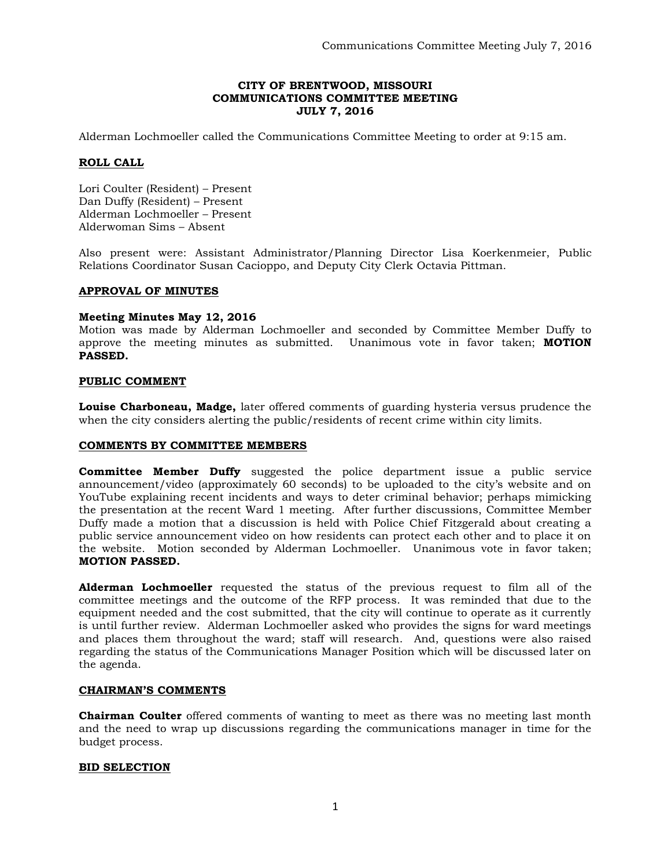## **CITY OF BRENTWOOD, MISSOURI COMMUNICATIONS COMMITTEE MEETING JULY 7, 2016**

Alderman Lochmoeller called the Communications Committee Meeting to order at 9:15 am.

# **ROLL CALL**

Lori Coulter (Resident) – Present Dan Duffy (Resident) – Present Alderman Lochmoeller – Present Alderwoman Sims – Absent

Also present were: Assistant Administrator/Planning Director Lisa Koerkenmeier, Public Relations Coordinator Susan Cacioppo, and Deputy City Clerk Octavia Pittman.

### **APPROVAL OF MINUTES**

### **Meeting Minutes May 12, 2016**

Motion was made by Alderman Lochmoeller and seconded by Committee Member Duffy to approve the meeting minutes as submitted. Unanimous vote in favor taken; **MOTION PASSED.** 

### **PUBLIC COMMENT**

**Louise Charboneau, Madge,** later offered comments of guarding hysteria versus prudence the when the city considers alerting the public/residents of recent crime within city limits.

### **COMMENTS BY COMMITTEE MEMBERS**

**Committee Member Duffy** suggested the police department issue a public service announcement/video (approximately 60 seconds) to be uploaded to the city's website and on YouTube explaining recent incidents and ways to deter criminal behavior; perhaps mimicking the presentation at the recent Ward 1 meeting. After further discussions, Committee Member Duffy made a motion that a discussion is held with Police Chief Fitzgerald about creating a public service announcement video on how residents can protect each other and to place it on the website. Motion seconded by Alderman Lochmoeller. Unanimous vote in favor taken; **MOTION PASSED.** 

**Alderman Lochmoeller** requested the status of the previous request to film all of the committee meetings and the outcome of the RFP process. It was reminded that due to the equipment needed and the cost submitted, that the city will continue to operate as it currently is until further review. Alderman Lochmoeller asked who provides the signs for ward meetings and places them throughout the ward; staff will research. And, questions were also raised regarding the status of the Communications Manager Position which will be discussed later on the agenda.

### **CHAIRMAN'S COMMENTS**

**Chairman Coulter** offered comments of wanting to meet as there was no meeting last month and the need to wrap up discussions regarding the communications manager in time for the budget process.

### **BID SELECTION**